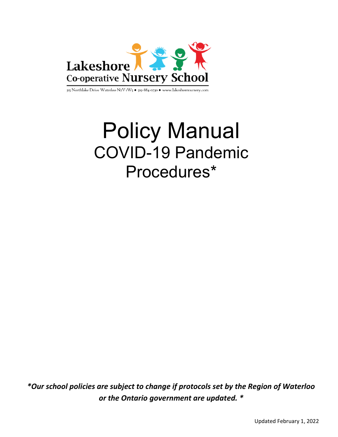

315 Northlake Drive Waterloo N2V 1W5 . 519-884-0730 . www.lakeshorenursery.com

# Policy Manual COVID COVID-19 Pandemic Procedures Procedures\*

\*Our school policies are subject to change if protocols set by the Region of Waterloo are subject to change if protocols set by the<br>or the Ontario government are updated. \*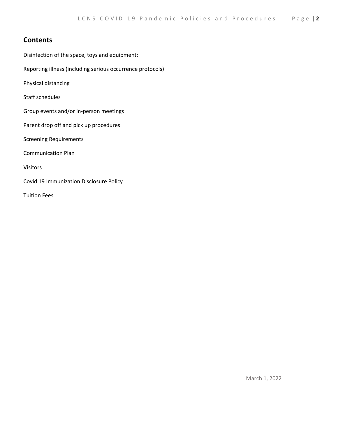## **Contents**

Disinfection of the space, toys and equipment;

Reporting illness (including serious occurrence protocols)

Physical distancing

Staff schedules

- Group events and/or in-person meetings
- Parent drop off and pick up procedures

Screening Requirements

Communication Plan

Visitors

Covid 19 Immunization Disclosure Policy

Tuition Fees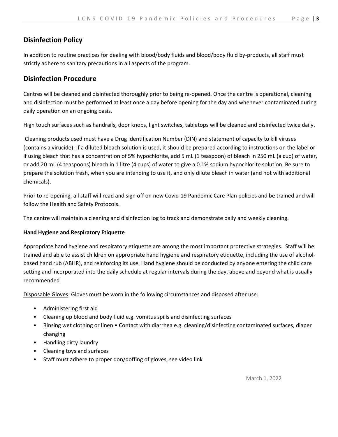# Disinfection Policy

In addition to routine practices for dealing with blood/body fluids and blood/body fluid by-products, all staff must strictly adhere to sanitary precautions in all aspects of the program.

# Disinfection Procedure

Centres will be cleaned and disinfected thoroughly prior to being re-opened. Once the centre is operational, cleaning and disinfection must be performed at least once a day before opening for the day and whenever contaminated during daily operation on an ongoing basis.

High touch surfaces such as handrails, door knobs, light switches, tabletops will be cleaned and disinfected twice daily.

 Cleaning products used must have a Drug Identification Number (DIN) and statement of capacity to kill viruses (contains a virucide). If a diluted bleach solution is used, it should be prepared according to instructions on the label or if using bleach that has a concentration of 5% hypochlorite, add 5 mL (1 teaspoon) of bleach in 250 mL (a cup) of water, or add 20 mL (4 teaspoons) bleach in 1 litre (4 cups) of water to give a 0.1% sodium hypochlorite solution. Be sure to prepare the solution fresh, when you are intending to use it, and only dilute bleach in water (and not with additional chemicals).

Prior to re-opening, all staff will read and sign off on new Covid-19 Pandemic Care Plan policies and be trained and will follow the Health and Safety Protocols.

The centre will maintain a cleaning and disinfection log to track and demonstrate daily and weekly cleaning.

## Hand Hygiene and Respiratory Etiquette

Appropriate hand hygiene and respiratory etiquette are among the most important protective strategies. Staff will be trained and able to assist children on appropriate hand hygiene and respiratory etiquette, including the use of alcoholbased hand rub (ABHR), and reinforcing its use. Hand hygiene should be conducted by anyone entering the child care setting and incorporated into the daily schedule at regular intervals during the day, above and beyond what is usually recommended

Disposable Gloves: Gloves must be worn in the following circumstances and disposed after use:

- Administering first aid
- Cleaning up blood and body fluid e.g. vomitus spills and disinfecting surfaces
- Rinsing wet clothing or linen Contact with diarrhea e.g. cleaning/disinfecting contaminated surfaces, diaper changing
- Handling dirty laundry
- Cleaning toys and surfaces
- Staff must adhere to proper don/doffing of gloves, see video link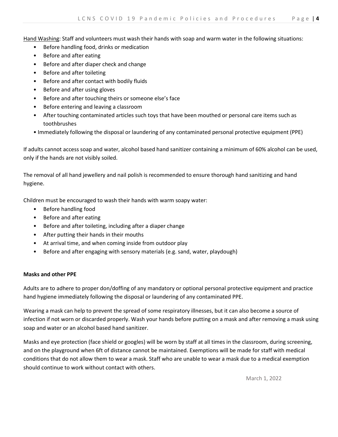Hand Washing: Staff and volunteers must wash their hands with soap and warm water in the following situations:

- Before handling food, drinks or medication
- Before and after eating
- Before and after diaper check and change
- Before and after toileting
- Before and after contact with bodily fluids
- Before and after using gloves
- Before and after touching theirs or someone else's face
- Before entering and leaving a classroom
- After touching contaminated articles such toys that have been mouthed or personal care items such as toothbrushes
- Immediately following the disposal or laundering of any contaminated personal protective equipment (PPE)

If adults cannot access soap and water, alcohol based hand sanitizer containing a minimum of 60% alcohol can be used, only if the hands are not visibly soiled.

The removal of all hand jewellery and nail polish is recommended to ensure thorough hand sanitizing and hand hygiene.

Children must be encouraged to wash their hands with warm soapy water:

- Before handling food
- Before and after eating
- Before and after toileting, including after a diaper change
- After putting their hands in their mouths
- At arrival time, and when coming inside from outdoor play
- Before and after engaging with sensory materials (e.g. sand, water, playdough)

## Masks and other PPE

Adults are to adhere to proper don/doffing of any mandatory or optional personal protective equipment and practice hand hygiene immediately following the disposal or laundering of any contaminated PPE.

Wearing a mask can help to prevent the spread of some respiratory illnesses, but it can also become a source of infection if not worn or discarded properly. Wash your hands before putting on a mask and after removing a mask using soap and water or an alcohol based hand sanitizer.

Masks and eye protection (face shield or googles) will be worn by staff at all times in the classroom, during screening, and on the playground when 6ft of distance cannot be maintained. Exemptions will be made for staff with medical conditions that do not allow them to wear a mask. Staff who are unable to wear a mask due to a medical exemption should continue to work without contact with others.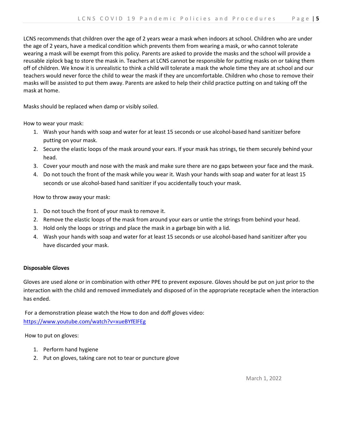LCNS recommends that children over the age of 2 years wear a mask when indoors at school. Children who are under the age of 2 years, have a medical condition which prevents them from wearing a mask, or who cannot tolerate wearing a mask will be exempt from this policy. Parents are asked to provide the masks and the school will provide a reusable ziplock bag to store the mask in. Teachers at LCNS cannot be responsible for putting masks on or taking them off of children. We know it is unrealistic to think a child will tolerate a mask the whole time they are at school and our teachers would never force the child to wear the mask if they are uncomfortable. Children who chose to remove their masks will be assisted to put them away. Parents are asked to help their child practice putting on and taking off the mask at home.

Masks should be replaced when damp or visibly soiled.

How to wear your mask:

- 1. Wash your hands with soap and water for at least 15 seconds or use alcohol-based hand sanitizer before putting on your mask.
- 2. Secure the elastic loops of the mask around your ears. If your mask has strings, tie them securely behind your head.
- 3. Cover your mouth and nose with the mask and make sure there are no gaps between your face and the mask.
- 4. Do not touch the front of the mask while you wear it. Wash your hands with soap and water for at least 15 seconds or use alcohol-based hand sanitizer if you accidentally touch your mask.

How to throw away your mask:

- 1. Do not touch the front of your mask to remove it.
- 2. Remove the elastic loops of the mask from around your ears or untie the strings from behind your head.
- 3. Hold only the loops or strings and place the mask in a garbage bin with a lid.
- 4. Wash your hands with soap and water for at least 15 seconds or use alcohol-based hand sanitizer after you have discarded your mask.

## Disposable Gloves

Gloves are used alone or in combination with other PPE to prevent exposure. Gloves should be put on just prior to the interaction with the child and removed immediately and disposed of in the appropriate receptacle when the interaction has ended.

 For a demonstration please watch the How to don and doff gloves video: https://www.youtube.com/watch?v=xueBYfElFEg

How to put on gloves:

- 1. Perform hand hygiene
- 2. Put on gloves, taking care not to tear or puncture glove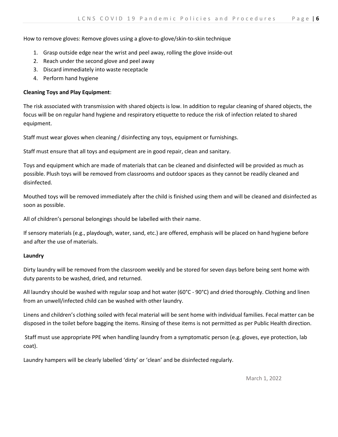How to remove gloves: Remove gloves using a glove-to-glove/skin-to-skin technique

- 1. Grasp outside edge near the wrist and peel away, rolling the glove inside-out
- 2. Reach under the second glove and peel away
- 3. Discard immediately into waste receptacle
- 4. Perform hand hygiene

## Cleaning Toys and Play Equipment:

The risk associated with transmission with shared objects is low. In addition to regular cleaning of shared objects, the focus will be on regular hand hygiene and respiratory etiquette to reduce the risk of infection related to shared equipment.

Staff must wear gloves when cleaning / disinfecting any toys, equipment or furnishings.

Staff must ensure that all toys and equipment are in good repair, clean and sanitary.

Toys and equipment which are made of materials that can be cleaned and disinfected will be provided as much as possible. Plush toys will be removed from classrooms and outdoor spaces as they cannot be readily cleaned and disinfected.

Mouthed toys will be removed immediately after the child is finished using them and will be cleaned and disinfected as soon as possible.

All of children's personal belongings should be labelled with their name.

If sensory materials (e.g., playdough, water, sand, etc.) are offered, emphasis will be placed on hand hygiene before and after the use of materials.

## Laundry

Dirty laundry will be removed from the classroom weekly and be stored for seven days before being sent home with duty parents to be washed, dried, and returned.

All laundry should be washed with regular soap and hot water (60°C - 90°C) and dried thoroughly. Clothing and linen from an unwell/infected child can be washed with other laundry.

Linens and children's clothing soiled with fecal material will be sent home with individual families. Fecal matter can be disposed in the toilet before bagging the items. Rinsing of these items is not permitted as per Public Health direction.

 Staff must use appropriate PPE when handling laundry from a symptomatic person (e.g. gloves, eye protection, lab coat).

Laundry hampers will be clearly labelled 'dirty' or 'clean' and be disinfected regularly.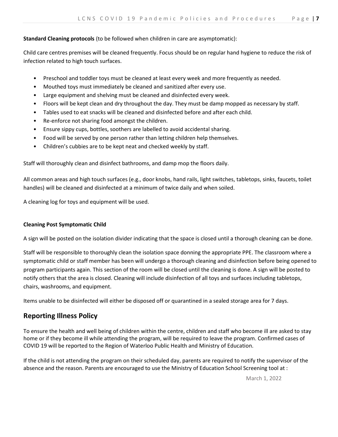## Standard Cleaning protocols (to be followed when children in care are asymptomatic):

Child care centres premises will be cleaned frequently. Focus should be on regular hand hygiene to reduce the risk of infection related to high touch surfaces.

- Preschool and toddler toys must be cleaned at least every week and more frequently as needed.
- Mouthed toys must immediately be cleaned and sanitized after every use.
- Large equipment and shelving must be cleaned and disinfected every week.
- Floors will be kept clean and dry throughout the day. They must be damp mopped as necessary by staff.
- Tables used to eat snacks will be cleaned and disinfected before and after each child.
- Re-enforce not sharing food amongst the children.
- Ensure sippy cups, bottles, soothers are labelled to avoid accidental sharing.
- Food will be served by one person rather than letting children help themselves.
- Children's cubbies are to be kept neat and checked weekly by staff.

Staff will thoroughly clean and disinfect bathrooms, and damp mop the floors daily.

All common areas and high touch surfaces (e.g., door knobs, hand rails, light switches, tabletops, sinks, faucets, toilet handles) will be cleaned and disinfected at a minimum of twice daily and when soiled.

A cleaning log for toys and equipment will be used.

## Cleaning Post Symptomatic Child

A sign will be posted on the isolation divider indicating that the space is closed until a thorough cleaning can be done.

Staff will be responsible to thoroughly clean the isolation space donning the appropriate PPE. The classroom where a symptomatic child or staff member has been will undergo a thorough cleaning and disinfection before being opened to program participants again. This section of the room will be closed until the cleaning is done. A sign will be posted to notify others that the area is closed. Cleaning will include disinfection of all toys and surfaces including tabletops, chairs, washrooms, and equipment.

Items unable to be disinfected will either be disposed off or quarantined in a sealed storage area for 7 days.

# Reporting Illness Policy

To ensure the health and well being of children within the centre, children and staff who become ill are asked to stay home or if they become ill while attending the program, will be required to leave the program. Confirmed cases of COVID 19 will be reported to the Region of Waterloo Public Health and Ministry of Education.

If the child is not attending the program on their scheduled day, parents are required to notify the supervisor of the absence and the reason. Parents are encouraged to use the Ministry of Education School Screening tool at :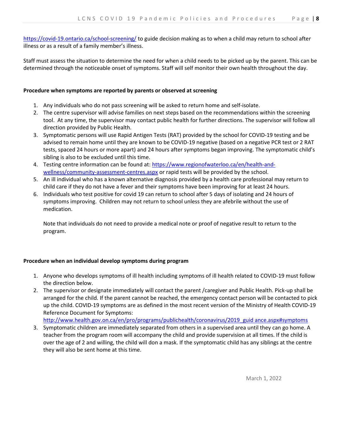https://covid-19.ontario.ca/school-screening/ to guide decision making as to when a child may return to school after illness or as a result of a family member's illness.

Staff must assess the situation to determine the need for when a child needs to be picked up by the parent. This can be determined through the noticeable onset of symptoms. Staff will self monitor their own health throughout the day.

## Procedure when symptoms are reported by parents or observed at screening

- 1. Any individuals who do not pass screening will be asked to return home and self-isolate.
- 2. The centre supervisor will advise families on next steps based on the recommendations within the screening tool. At any time, the supervisor may contact public health for further directions. The supervisor will follow all direction provided by Public Health.
- 3. Symptomatic persons will use Rapid Antigen Tests (RAT) provided by the school for COVID-19 testing and be advised to remain home until they are known to be COVID-19 negative (based on a negative PCR test or 2 RAT tests, spaced 24 hours or more apart) and 24 hours after symptoms began improving. The symptomatic child's sibling is also to be excluded until this time.
- 4. Testing centre information can be found at: https://www.regionofwaterloo.ca/en/health-andwellness/community-assessment-centres.aspx or rapid tests will be provided by the school.
- 5. An ill individual who has a known alternative diagnosis provided by a health care professional may return to child care if they do not have a fever and their symptoms have been improving for at least 24 hours.
- 6. Individuals who test positive for covid 19 can return to school after 5 days of isolating and 24 hours of symptoms improving. Children may not return to school unless they are afebrile without the use of medication.

Note that individuals do not need to provide a medical note or proof of negative result to return to the program.

## Procedure when an individual develop symptoms during program

- 1. Anyone who develops symptoms of ill health including symptoms of ill health related to COVID-19 must follow the direction below.
- 2. The supervisor or designate immediately will contact the parent /caregiver and Public Health. Pick-up shall be arranged for the child. If the parent cannot be reached, the emergency contact person will be contacted to pick up the child. COVID-19 symptoms are as defined in the most recent version of the Ministry of Health COVID-19 Reference Document for Symptoms:

http://www.health.gov.on.ca/en/pro/programs/publichealth/coronavirus/2019\_guid ance.aspx#symptoms

3. Symptomatic children are immediately separated from others in a supervised area until they can go home. A teacher from the program room will accompany the child and provide supervision at all times. If the child is over the age of 2 and willing, the child will don a mask. If the symptomatic child has any siblings at the centre they will also be sent home at this time.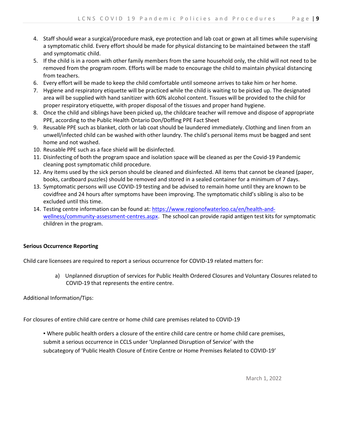- 4. Staff should wear a surgical/procedure mask, eye protection and lab coat or gown at all times while supervising a symptomatic child. Every effort should be made for physical distancing to be maintained between the staff and symptomatic child.
- 5. If the child is in a room with other family members from the same household only, the child will not need to be removed from the program room. Efforts will be made to encourage the child to maintain physical distancing from teachers.
- 6. Every effort will be made to keep the child comfortable until someone arrives to take him or her home.
- 7. Hygiene and respiratory etiquette will be practiced while the child is waiting to be picked up. The designated area will be supplied with hand sanitizer with 60% alcohol content. Tissues will be provided to the child for proper respiratory etiquette, with proper disposal of the tissues and proper hand hygiene.
- 8. Once the child and siblings have been picked up, the childcare teacher will remove and dispose of appropriate PPE, according to the Public Health Ontario Don/Doffing PPE Fact Sheet
- 9. Reusable PPE such as blanket, cloth or lab coat should be laundered immediately. Clothing and linen from an unwell/infected child can be washed with other laundry. The child's personal items must be bagged and sent home and not washed.
- 10. Reusable PPE such as a face shield will be disinfected.
- 11. Disinfecting of both the program space and isolation space will be cleaned as per the Covid-19 Pandemic cleaning post symptomatic child procedure.
- 12. Any items used by the sick person should be cleaned and disinfected. All items that cannot be cleaned (paper, books, cardboard puzzles) should be removed and stored in a sealed container for a minimum of 7 days.
- 13. Symptomatic persons will use COVID-19 testing and be advised to remain home until they are known to be covidfree and 24 hours after symptoms have been improving. The symptomatic child's sibling is also to be excluded until this time.
- 14. Testing centre information can be found at: https://www.regionofwaterloo.ca/en/health-andwellness/community-assessment-centres.aspx. The school can provide rapid antigen test kits for symptomatic children in the program.

## Serious Occurrence Reporting

Child care licensees are required to report a serious occurrence for COVID-19 related matters for:

a) Unplanned disruption of services for Public Health Ordered Closures and Voluntary Closures related to COVID-19 that represents the entire centre.

Additional Information/Tips:

For closures of entire child care centre or home child care premises related to COVID-19

▪ Where public health orders a closure of the entire child care centre or home child care premises, submit a serious occurrence in CCLS under 'Unplanned Disruption of Service' with the subcategory of 'Public Health Closure of Entire Centre or Home Premises Related to COVID-19'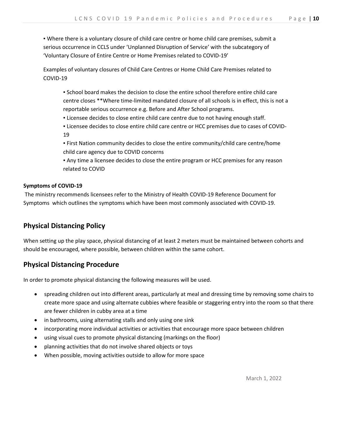▪ Where there is a voluntary closure of child care centre or home child care premises, submit a serious occurrence in CCLS under 'Unplanned Disruption of Service' with the subcategory of 'Voluntary Closure of Entire Centre or Home Premises related to COVID-19'

Examples of voluntary closures of Child Care Centres or Home Child Care Premises related to COVID-19

▪ School board makes the decision to close the entire school therefore entire child care centre closes \*\*Where time-limited mandated closure of all schools is in effect, this is not a reportable serious occurrence e.g. Before and After School programs.

**.** Licensee decides to close entire child care centre due to not having enough staff.

▪ Licensee decides to close entire child care centre or HCC premises due to cases of COVID-19

▪ First Nation community decides to close the entire community/child care centre/home child care agency due to COVID concerns

▪ Any time a licensee decides to close the entire program or HCC premises for any reason related to COVID

#### Symptoms of COVID-19

 The ministry recommends licensees refer to the Ministry of Health COVID-19 Reference Document for Symptoms which outlines the symptoms which have been most commonly associated with COVID-19.

## Physical Distancing Policy

When setting up the play space, physical distancing of at least 2 meters must be maintained between cohorts and should be encouraged, where possible, between children within the same cohort.

## Physical Distancing Procedure

In order to promote physical distancing the following measures will be used.

- spreading children out into different areas, particularly at meal and dressing time by removing some chairs to create more space and using alternate cubbies where feasible or staggering entry into the room so that there are fewer children in cubby area at a time
- in bathrooms, using alternating stalls and only using one sink
- incorporating more individual activities or activities that encourage more space between children
- using visual cues to promote physical distancing (markings on the floor)
- planning activities that do not involve shared objects or toys
- When possible, moving activities outside to allow for more space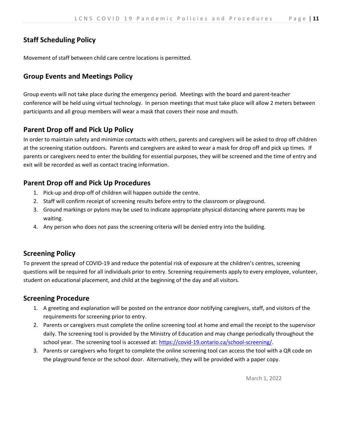# Staff Scheduling Policy

Movement of staff between child care centre locations is permitted.

## Group Events and Meetings Policy

Group events will not take place during the emergency period. Meetings with the board and parent-teacher conference will be held using virtual technology. In person meetings that must take place will allow 2 meters between participants and all group members will wear a mask that covers their nose and mouth.

# Parent Drop off and Pick Up Policy

In order to maintain safety and minimize contacts with others, parents and caregivers will be asked to drop off children at the screening station outdoors. Parents and caregivers are asked to wear a mask for drop off and pick up times. If parents or caregivers need to enter the building for essential purposes, they will be screened and the time of entry and exit will be recorded as well as contact tracing information.

# Parent Drop off and Pick Up Procedures

- 1. Pick-up and drop-off of children will happen outside the centre.
- 2. Staff will confirm receipt of screening results before entry to the classroom or playground.
- 3. Ground markings or pylons may be used to indicate appropriate physical distancing where parents may be waiting.
- 4. Any person who does not pass the screening criteria will be denied entry into the building.

## Screening Policy

To prevent the spread of COVID-19 and reduce the potential risk of exposure at the children's centres, screening questions will be required for all individuals prior to entry. Screening requirements apply to every employee, volunteer, student on educational placement, and child at the beginning of the day and all visitors.

## Screening Procedure

- 1. A greeting and explanation will be posted on the entrance door notifying caregivers, staff, and visitors of the requirements for screening prior to entry.
- 2. Parents or caregivers must complete the online screening tool at home and email the receipt to the supervisor daily. The screening tool is provided by the Ministry of Education and may change periodically throughout the school year. The screening tool is accessed at: https://covid-19.ontario.ca/school-screening/.
- 3. Parents or caregivers who forget to complete the online screening tool can access the tool with a QR code on the playground fence or the school door. Alternatively, they will be provided with a paper copy.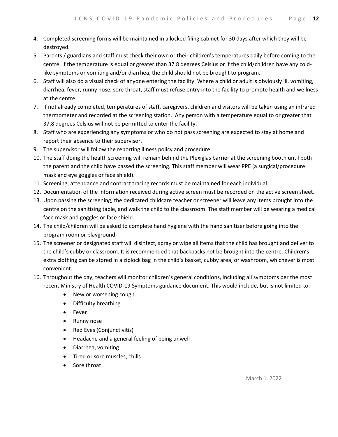- 4. Completed screening forms will be maintained in a locked filing cabinet for 30 days after which they will be destroyed.
- 5. Parents / guardians and staff must check their own or their children's temperatures daily before coming to the centre. If the temperature is equal or greater than 37.8 degrees Celsius or if the child/children have any coldlike symptoms or vomiting and/or diarrhea, the child should not be brought to program.
- 6. Staff will also do a visual check of anyone entering the facility. Where a child or adult is obviously ill, vomiting, diarrhea, fever, runny nose, sore throat, staff must refuse entry into the facility to promote health and wellness at the centre.
- 7. If not already completed, temperatures of staff, caregivers, children and visitors will be taken using an infrared thermometer and recorded at the screening station. Any person with a temperature equal to or greater that 37.8 degrees Celsius will not be permitted to enter the facility.
- 8. Staff who are experiencing any symptoms or who do not pass screening are expected to stay at home and report their absence to their supervisor.
- 9. The supervisor will follow the reporting illness policy and procedure.
- 10. The staff doing the health screening will remain behind the Plexiglas barrier at the screening booth until both the parent and the child have passed the screening. This staff member will wear PPE (a surgical/procedure mask and eye goggles or face shield).
- 11. Screening, attendance and contract tracing records must be maintained for each individual.
- 12. Documentation of the information received during active screen must be recorded on the active screen sheet.
- 13. Upon passing the screening, the dedicated childcare teacher or screener will leave any items brought into the centre on the sanitizing table, and walk the child to the classroom. The staff member will be wearing a medical face mask and goggles or face shield.
- 14. The child/children will be asked to complete hand hygiene with the hand sanitizer before going into the program room or playground.
- 15. The screener or designated staff will disinfect, spray or wipe all items that the child has brought and deliver to the child's cubby or classroom. It is recommended that backpacks not be brought into the centre. Children's extra clothing can be stored in a ziplock bag in the child's basket, cubby area, or washroom, whichever is most convenient.
- 16. Throughout the day, teachers will monitor children's general conditions, including all symptoms per the most recent Ministry of Health COVID-19 Symptoms guidance document. This would include, but is not limited to:
	- New or worsening cough
	- Difficulty breathing
	- Fever
	- Runny nose
	- Red Eyes (Conjunctivitis)
	- Headache and a general feeling of being unwell
	- Diarrhea, vomiting
	- Tired or sore muscles, chills
	- Sore throat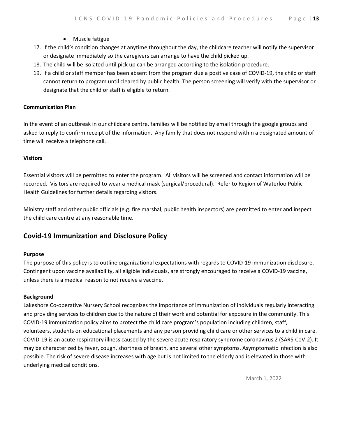- Muscle fatigue
- 17. If the child's condition changes at anytime throughout the day, the childcare teacher will notify the supervisor or designate immediately so the caregivers can arrange to have the child picked up.
- 18. The child will be isolated until pick up can be arranged according to the isolation procedure.
- 19. If a child or staff member has been absent from the program due a positive case of COVID-19, the child or staff cannot return to program until cleared by public health. The person screening will verify with the supervisor or designate that the child or staff is eligible to return.

#### Communication Plan

In the event of an outbreak in our childcare centre, families will be notified by email through the google groups and asked to reply to confirm receipt of the information. Any family that does not respond within a designated amount of time will receive a telephone call.

#### Visitors

Essential visitors will be permitted to enter the program. All visitors will be screened and contact information will be recorded. Visitors are required to wear a medical mask (surgical/procedural). Refer to Region of Waterloo Public Health Guidelines for further details regarding visitors.

Ministry staff and other public officials (e.g. fire marshal, public health inspectors) are permitted to enter and inspect the child care centre at any reasonable time.

## Covid-19 Immunization and Disclosure Policy

## Purpose

The purpose of this policy is to outline organizational expectations with regards to COVID-19 immunization disclosure. Contingent upon vaccine availability, all eligible individuals, are strongly encouraged to receive a COVID-19 vaccine, unless there is a medical reason to not receive a vaccine.

#### **Background**

Lakeshore Co-operative Nursery School recognizes the importance of immunization of individuals regularly interacting and providing services to children due to the nature of their work and potential for exposure in the community. This COVID-19 immunization policy aims to protect the child care program's population including children, staff, volunteers, students on educational placements and any person providing child care or other services to a child in care. COVID-19 is an acute respiratory illness caused by the severe acute respiratory syndrome coronavirus 2 (SARS-CoV-2). It may be characterized by fever, cough, shortness of breath, and several other symptoms. Asymptomatic infection is also possible. The risk of severe disease increases with age but is not limited to the elderly and is elevated in those with underlying medical conditions.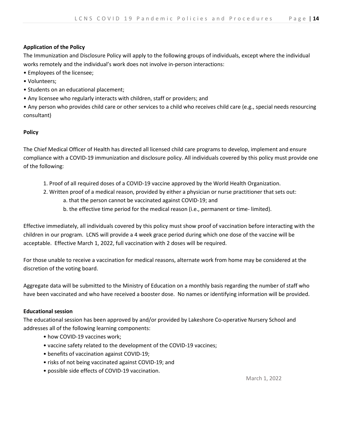## Application of the Policy

The Immunization and Disclosure Policy will apply to the following groups of individuals, except where the individual works remotely and the individual's work does not involve in-person interactions:

- Employees of the licensee;
- Volunteers;
- Students on an educational placement;
- Any licensee who regularly interacts with children, staff or providers; and

• Any person who provides child care or other services to a child who receives child care (e.g., special needs resourcing consultant)

#### Policy

The Chief Medical Officer of Health has directed all licensed child care programs to develop, implement and ensure compliance with a COVID-19 immunization and disclosure policy. All individuals covered by this policy must provide one of the following:

- 1. Proof of all required doses of a COVID-19 vaccine approved by the World Health Organization.
- 2. Written proof of a medical reason, provided by either a physician or nurse practitioner that sets out:
	- a. that the person cannot be vaccinated against COVID-19; and
	- b. the effective time period for the medical reason (i.e., permanent or time- limited).

Effective immediately, all individuals covered by this policy must show proof of vaccination before interacting with the children in our program. LCNS will provide a 4 week grace period during which one dose of the vaccine will be acceptable. Effective March 1, 2022, full vaccination with 2 doses will be required.

For those unable to receive a vaccination for medical reasons, alternate work from home may be considered at the discretion of the voting board.

Aggregate data will be submitted to the Ministry of Education on a monthly basis regarding the number of staff who have been vaccinated and who have received a booster dose. No names or identifying information will be provided.

#### Educational session

The educational session has been approved by and/or provided by Lakeshore Co-operative Nursery School and addresses all of the following learning components:

- how COVID-19 vaccines work;
- vaccine safety related to the development of the COVID-19 vaccines;
- benefits of vaccination against COVID-19;
- risks of not being vaccinated against COVID-19; and
- possible side effects of COVID-19 vaccination.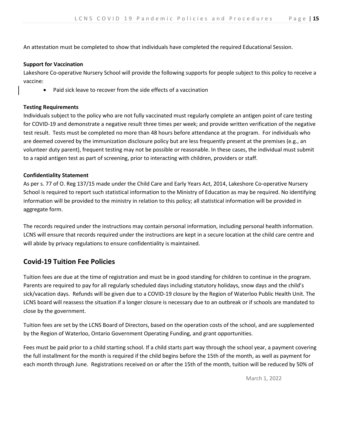An attestation must be completed to show that individuals have completed the required Educational Session.

#### Support for Vaccination

Lakeshore Co-operative Nursery School will provide the following supports for people subject to this policy to receive a vaccine:

Paid sick leave to recover from the side effects of a vaccination

#### Testing Requirements

Individuals subject to the policy who are not fully vaccinated must regularly complete an antigen point of care testing for COVID-19 and demonstrate a negative result three times per week; and provide written verification of the negative test result. Tests must be completed no more than 48 hours before attendance at the program. For individuals who are deemed covered by the immunization disclosure policy but are less frequently present at the premises (e.g., an volunteer duty parent), frequent testing may not be possible or reasonable. In these cases, the individual must submit to a rapid antigen test as part of screening, prior to interacting with children, providers or staff.

#### Confidentiality Statement

As per s. 77 of O. Reg 137/15 made under the Child Care and Early Years Act, 2014, Lakeshore Co-operative Nursery School is required to report such statistical information to the Ministry of Education as may be required. No identifying information will be provided to the ministry in relation to this policy; all statistical information will be provided in aggregate form.

The records required under the instructions may contain personal information, including personal health information. LCNS will ensure that records required under the instructions are kept in a secure location at the child care centre and will abide by privacy regulations to ensure confidentiality is maintained.

## Covid-19 Tuition Fee Policies

Tuition fees are due at the time of registration and must be in good standing for children to continue in the program. Parents are required to pay for all regularly scheduled days including statutory holidays, snow days and the child's sick/vacation days. Refunds will be given due to a COVID-19 closure by the Region of Waterloo Public Health Unit. The LCNS board will reassess the situation if a longer closure is necessary due to an outbreak or if schools are mandated to close by the government.

Tuition fees are set by the LCNS Board of Directors, based on the operation costs of the school, and are supplemented by the Region of Waterloo, Ontario Government Operating Funding, and grant opportunities.

Fees must be paid prior to a child starting school. If a child starts part way through the school year, a payment covering the full installment for the month is required if the child begins before the 15th of the month, as well as payment for each month through June. Registrations received on or after the 15th of the month, tuition will be reduced by 50% of